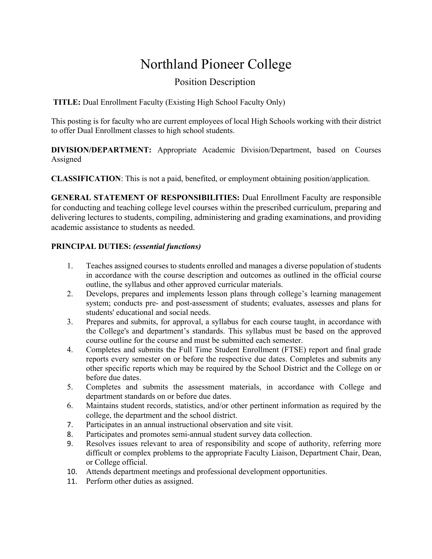# Northland Pioneer College

## Position Description

**TITLE:** Dual Enrollment Faculty (Existing High School Faculty Only)

This posting is for faculty who are current employees of local High Schools working with their district to offer Dual Enrollment classes to high school students.

**DIVISION/DEPARTMENT:** Appropriate Academic Division/Department, based on Courses Assigned

**CLASSIFICATION**: This is not a paid, benefited, or employment obtaining position/application.

**GENERAL STATEMENT OF RESPONSIBILITIES:** Dual Enrollment Faculty are responsible for conducting and teaching college level courses within the prescribed curriculum, preparing and delivering lectures to students, compiling, administering and grading examinations, and providing academic assistance to students as needed.

#### **PRINCIPAL DUTIES:** *(essential functions)*

- 1. Teaches assigned courses to students enrolled and manages a diverse population of students in accordance with the course description and outcomes as outlined in the official course outline, the syllabus and other approved curricular materials.
- 2. Develops, prepares and implements lesson plans through college's learning management system; conducts pre- and post-assessment of students; evaluates, assesses and plans for students' educational and social needs.
- 3. Prepares and submits, for approval, a syllabus for each course taught, in accordance with the College's and department's standards. This syllabus must be based on the approved course outline for the course and must be submitted each semester.
- 4. Completes and submits the Full Time Student Enrollment (FTSE) report and final grade reports every semester on or before the respective due dates. Completes and submits any other specific reports which may be required by the School District and the College on or before due dates.
- 5. Completes and submits the assessment materials, in accordance with College and department standards on or before due dates.
- 6. Maintains student records, statistics, and/or other pertinent information as required by the college, the department and the school district.
- 7. Participates in an annual instructional observation and site visit.
- 8. Participates and promotes semi-annual student survey data collection.
- 9. Resolves issues relevant to area of responsibility and scope of authority, referring more difficult or complex problems to the appropriate Faculty Liaison, Department Chair, Dean, or College official.
- 10. Attends department meetings and professional development opportunities.
- 11. Perform other duties as assigned.